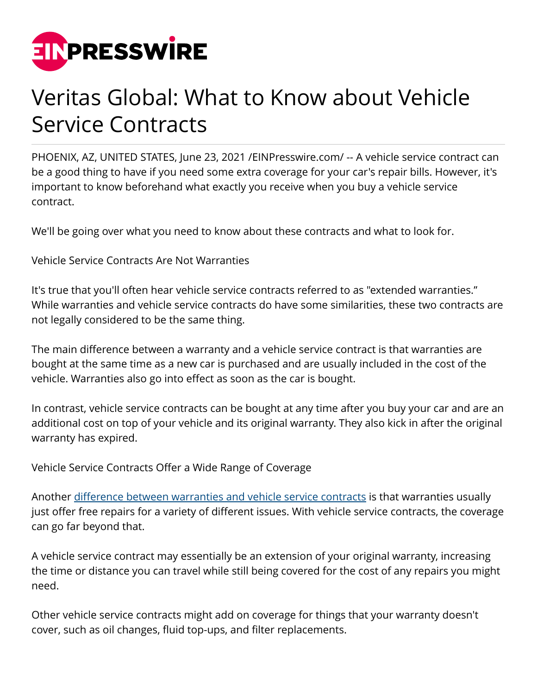

## Veritas Global: What to Know about Vehicle Service Contracts

PHOENIX, AZ, UNITED STATES, June 23, 2021 /[EINPresswire.com/](http://www.einpresswire.com) -- A vehicle service contract can be a good thing to have if you need some extra coverage for your car's repair bills. However, it's important to know beforehand what exactly you receive when you buy a vehicle service contract.

We'll be going over what you need to know about these contracts and what to look for.

Vehicle Service Contracts Are Not Warranties

It's true that you'll often hear vehicle service contracts referred to as "extended warranties." While warranties and vehicle service contracts do have some similarities, these two contracts are not legally considered to be the same thing.

The main difference between a warranty and a vehicle service contract is that warranties are bought at the same time as a new car is purchased and are usually included in the cost of the vehicle. Warranties also go into effect as soon as the car is bought.

In contrast, vehicle service contracts can be bought at any time after you buy your car and are an additional cost on top of your vehicle and its original warranty. They also kick in after the original warranty has expired.

Vehicle Service Contracts Offer a Wide Range of Coverage

Another [difference between warranties and vehicle service contracts](https://www.thecarblogger.net/auto-repair-costs-are-reduced-with-veritas-global-protection/) is that warranties usually just offer free repairs for a variety of different issues. With vehicle service contracts, the coverage can go far beyond that.

A vehicle service contract may essentially be an extension of your original warranty, increasing the time or distance you can travel while still being covered for the cost of any repairs you might need.

Other vehicle service contracts might add on coverage for things that your warranty doesn't cover, such as oil changes, fluid top-ups, and filter replacements.